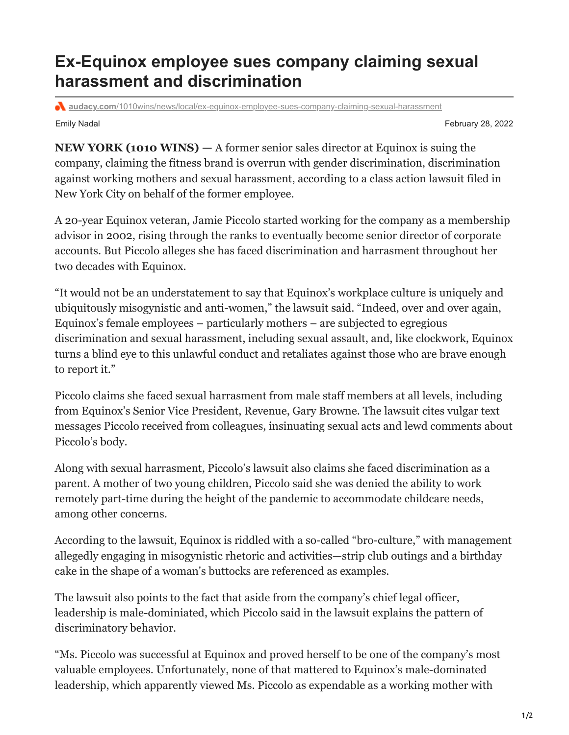## **Ex-Equinox employee sues company claiming sexual harassment and discrimination**

**audacy.com**[/1010wins/news/local/ex-equinox-employee-sues-company-claiming-sexual-harassment](https://www.audacy.com/1010wins/news/local/ex-equinox-employee-sues-company-claiming-sexual-harassment)

Emily Nadal February 28, 2022

**NEW YORK (1010 WINS) —** A former senior sales director at Equinox is suing the company, claiming the fitness brand is overrun with gender discrimination, discrimination against working mothers and sexual harassment, according to a class action lawsuit filed in New York City on behalf of the former employee.

A 20-year Equinox veteran, Jamie Piccolo started working for the company as a membership advisor in 2002, rising through the ranks to eventually become senior director of corporate accounts. But Piccolo alleges she has faced discrimination and harrasment throughout her two decades with Equinox.

"It would not be an understatement to say that Equinox's workplace culture is uniquely and ubiquitously misogynistic and anti-women," the lawsuit said. "Indeed, over and over again, Equinox's female employees – particularly mothers – are subjected to egregious discrimination and sexual harassment, including sexual assault, and, like clockwork, Equinox turns a blind eye to this unlawful conduct and retaliates against those who are brave enough to report it."

Piccolo claims she faced sexual harrasment from male staff members at all levels, including from Equinox's Senior Vice President, Revenue, Gary Browne. The lawsuit cites vulgar text messages Piccolo received from colleagues, insinuating sexual acts and lewd comments about Piccolo's body.

Along with sexual harrasment, Piccolo's lawsuit also claims she faced discrimination as a parent. A mother of two young children, Piccolo said she was denied the ability to work remotely part-time during the height of the pandemic to accommodate childcare needs, among other concerns.

According to the lawsuit, Equinox is riddled with a so-called "bro-culture," with management allegedly engaging in misogynistic rhetoric and activities—strip club outings and a birthday cake in the shape of a woman's buttocks are referenced as examples.

The lawsuit also points to the fact that aside from the company's chief legal officer, leadership is male-dominiated, which Piccolo said in the lawsuit explains the pattern of discriminatory behavior.

"Ms. Piccolo was successful at Equinox and proved herself to be one of the company's most valuable employees. Unfortunately, none of that mattered to Equinox's male-dominated leadership, which apparently viewed Ms. Piccolo as expendable as a working mother with